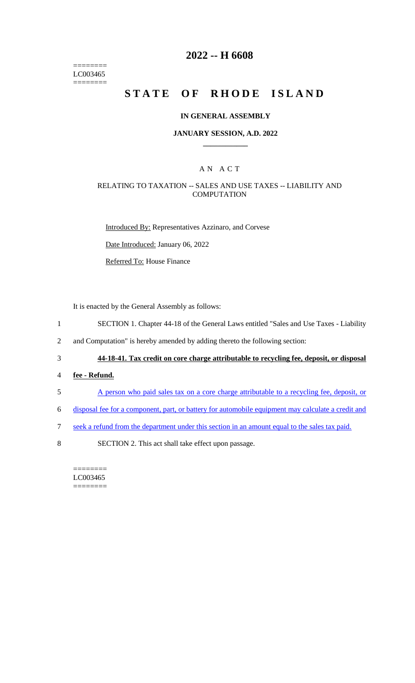$=$ LC003465  $=$ 

## **2022 -- H 6608**

# **STATE OF RHODE ISLAND**

#### **IN GENERAL ASSEMBLY**

#### **JANUARY SESSION, A.D. 2022 \_\_\_\_\_\_\_\_\_\_\_\_**

### A N A C T

#### RELATING TO TAXATION -- SALES AND USE TAXES -- LIABILITY AND **COMPUTATION**

Introduced By: Representatives Azzinaro, and Corvese

Date Introduced: January 06, 2022

Referred To: House Finance

It is enacted by the General Assembly as follows:

- 1 SECTION 1. Chapter 44-18 of the General Laws entitled "Sales and Use Taxes Liability
- 2 and Computation" is hereby amended by adding thereto the following section:
- 3 **44-18-41. Tax credit on core charge attributable to recycling fee, deposit, or disposal**
- 4 **fee - Refund.**
- 5 A person who paid sales tax on a core charge attributable to a recycling fee, deposit, or
- 6 disposal fee for a component, part, or battery for automobile equipment may calculate a credit and
- 7 seek a refund from the department under this section in an amount equal to the sales tax paid.
- 8 SECTION 2. This act shall take effect upon passage.

======== LC003465 ========